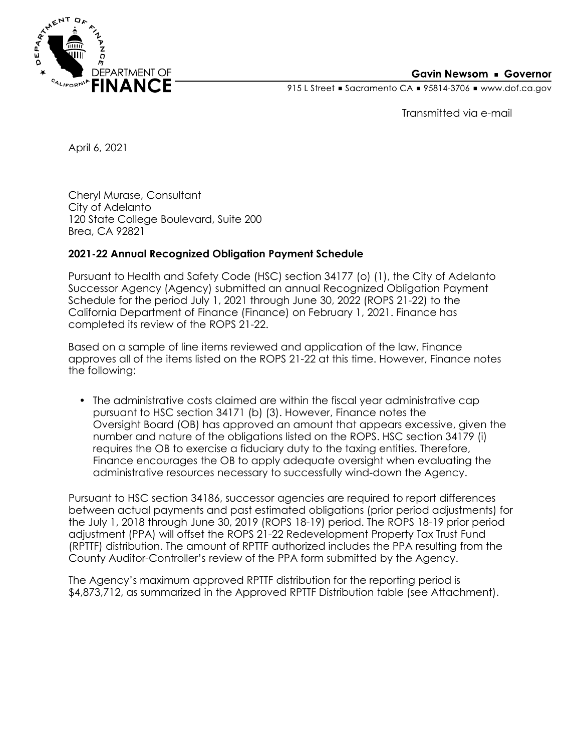

### **Gavin Newsom • Governor**

915 L Street Gacramento CA = 95814-3706 Www.dof.ca.gov

Transmitted via e-mail

April 6, 2021

Cheryl Murase, Consultant City of Adelanto 120 State College Boulevard, Suite 200 Brea, CA 92821

## **2021-22 Annual Recognized Obligation Payment Schedule**

Pursuant to Health and Safety Code (HSC) section 34177 (o) (1), the City of Adelanto Successor Agency (Agency) submitted an annual Recognized Obligation Payment Schedule for the period July 1, 2021 through June 30, 2022 (ROPS 21-22) to the California Department of Finance (Finance) on February 1, 2021. Finance has completed its review of the ROPS 21-22.

Based on a sample of line items reviewed and application of the law, Finance approves all of the items listed on the ROPS 21-22 at this time. However, Finance notes the following:

• The administrative costs claimed are within the fiscal year administrative cap pursuant to HSC section 34171 (b) (3). However, Finance notes the Oversight Board (OB) has approved an amount that appears excessive, given the number and nature of the obligations listed on the ROPS. HSC section 34179 (i) requires the OB to exercise a fiduciary duty to the taxing entities. Therefore, Finance encourages the OB to apply adequate oversight when evaluating the administrative resources necessary to successfully wind-down the Agency.

Pursuant to HSC section 34186, successor agencies are required to report differences between actual payments and past estimated obligations (prior period adjustments) for the July 1, 2018 through June 30, 2019 (ROPS 18-19) period. The ROPS 18-19 prior period adjustment (PPA) will offset the ROPS 21-22 Redevelopment Property Tax Trust Fund (RPTTF) distribution. The amount of RPTTF authorized includes the PPA resulting from the County Auditor-Controller's review of the PPA form submitted by the Agency.

The Agency's maximum approved RPTTF distribution for the reporting period is \$4,873,712, as summarized in the Approved RPTTF Distribution table (see Attachment).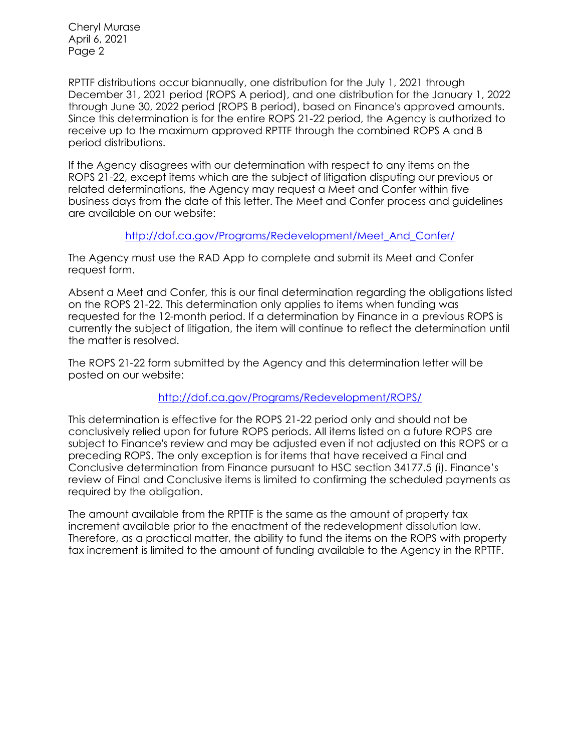Cheryl Murase April 6, 2021 Page 2

RPTTF distributions occur biannually, one distribution for the July 1, 2021 through December 31, 2021 period (ROPS A period), and one distribution for the January 1, 2022 through June 30, 2022 period (ROPS B period), based on Finance's approved amounts. Since this determination is for the entire ROPS 21-22 period, the Agency is authorized to receive up to the maximum approved RPTTF through the combined ROPS A and B period distributions.

If the Agency disagrees with our determination with respect to any items on the ROPS 21-22, except items which are the subject of litigation disputing our previous or related determinations, the Agency may request a Meet and Confer within five business days from the date of this letter. The Meet and Confer process and guidelines are available on our website:

## [http://dof.ca.gov/Programs/Redevelopment/Meet\\_And\\_Confer/](http://dof.ca.gov/Programs/Redevelopment/Meet_And_Confer/)

The Agency must use the RAD App to complete and submit its Meet and Confer request form.

Absent a Meet and Confer, this is our final determination regarding the obligations listed on the ROPS 21-22. This determination only applies to items when funding was requested for the 12-month period. If a determination by Finance in a previous ROPS is currently the subject of litigation, the item will continue to reflect the determination until the matter is resolved.

The ROPS 21-22 form submitted by the Agency and this determination letter will be posted on our website:

## <http://dof.ca.gov/Programs/Redevelopment/ROPS/>

This determination is effective for the ROPS 21-22 period only and should not be conclusively relied upon for future ROPS periods. All items listed on a future ROPS are subject to Finance's review and may be adjusted even if not adjusted on this ROPS or a preceding ROPS. The only exception is for items that have received a Final and Conclusive determination from Finance pursuant to HSC section 34177.5 (i). Finance's review of Final and Conclusive items is limited to confirming the scheduled payments as required by the obligation.

The amount available from the RPTTF is the same as the amount of property tax increment available prior to the enactment of the redevelopment dissolution law. Therefore, as a practical matter, the ability to fund the items on the ROPS with property tax increment is limited to the amount of funding available to the Agency in the RPTTF.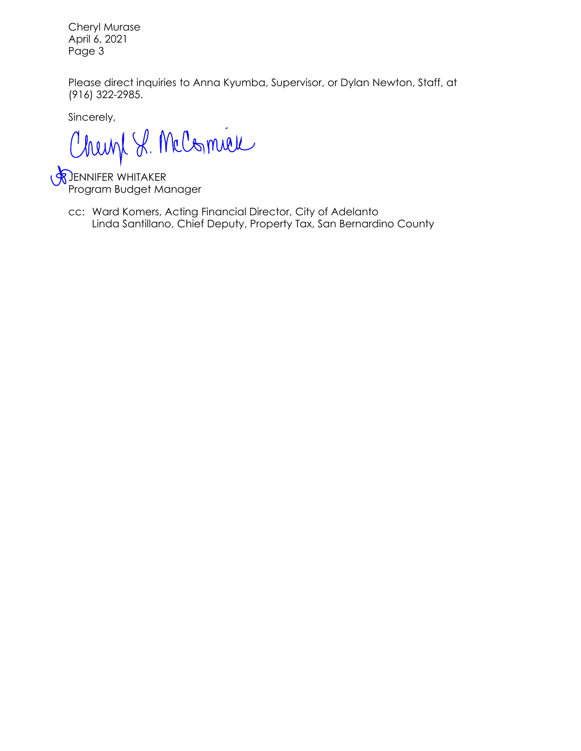Cheryl Murase April 6, 2021 Page 3

Please direct inquiries to Anna Kyumba, Supervisor, or Dylan Newton, Staff, at (916) 322-2985.

Sincerely,

Chemp S. McComieu

JENNIFER WHITAKER Program Budget Manager

cc: Ward Komers, Acting Financial Director, City of Adelanto Linda Santillano, Chief Deputy, Property Tax, San Bernardino County